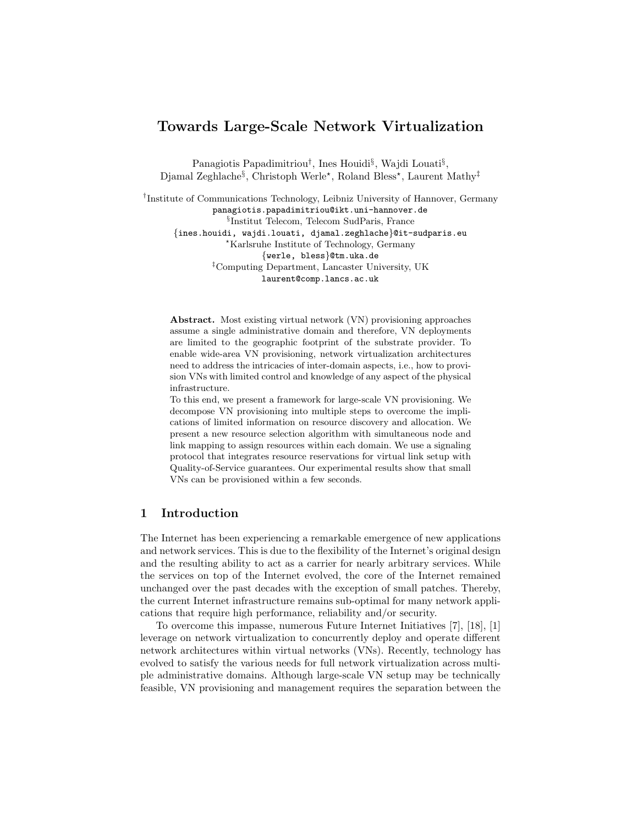# Towards Large-Scale Network Virtualization

Panagiotis Papadimitriou<sup>†</sup>, Ines Houidi<sup>§</sup>, Wajdi Louati<sup>§</sup>, Djamal Zeghlache $\delta$ , Christoph Werle<sup>\*</sup>, Roland Bless<sup>\*</sup>, Laurent Mathy<sup>‡</sup>

† Institute of Communications Technology, Leibniz University of Hannover, Germany panagiotis.papadimitriou@ikt.uni-hannover.de § Institut Telecom, Telecom SudParis, France {ines.houidi, wajdi.louati, djamal.zeghlache}@it-sudparis.eu <sup>⋆</sup>Karlsruhe Institute of Technology, Germany {werle, bless}@tm.uka.de ‡Computing Department, Lancaster University, UK laurent@comp.lancs.ac.uk

Abstract. Most existing virtual network (VN) provisioning approaches assume a single administrative domain and therefore, VN deployments are limited to the geographic footprint of the substrate provider. To enable wide-area VN provisioning, network virtualization architectures need to address the intricacies of inter-domain aspects, i.e., how to provision VNs with limited control and knowledge of any aspect of the physical infrastructure.

To this end, we present a framework for large-scale VN provisioning. We decompose VN provisioning into multiple steps to overcome the implications of limited information on resource discovery and allocation. We present a new resource selection algorithm with simultaneous node and link mapping to assign resources within each domain. We use a signaling protocol that integrates resource reservations for virtual link setup with Quality-of-Service guarantees. Our experimental results show that small VNs can be provisioned within a few seconds.

# 1 Introduction

The Internet has been experiencing a remarkable emergence of new applications and network services. This is due to the flexibility of the Internet's original design and the resulting ability to act as a carrier for nearly arbitrary services. While the services on top of the Internet evolved, the core of the Internet remained unchanged over the past decades with the exception of small patches. Thereby, the current Internet infrastructure remains sub-optimal for many network applications that require high performance, reliability and/or security.

To overcome this impasse, numerous Future Internet Initiatives [7], [18], [1] leverage on network virtualization to concurrently deploy and operate different network architectures within virtual networks (VNs). Recently, technology has evolved to satisfy the various needs for full network virtualization across multiple administrative domains. Although large-scale VN setup may be technically feasible, VN provisioning and management requires the separation between the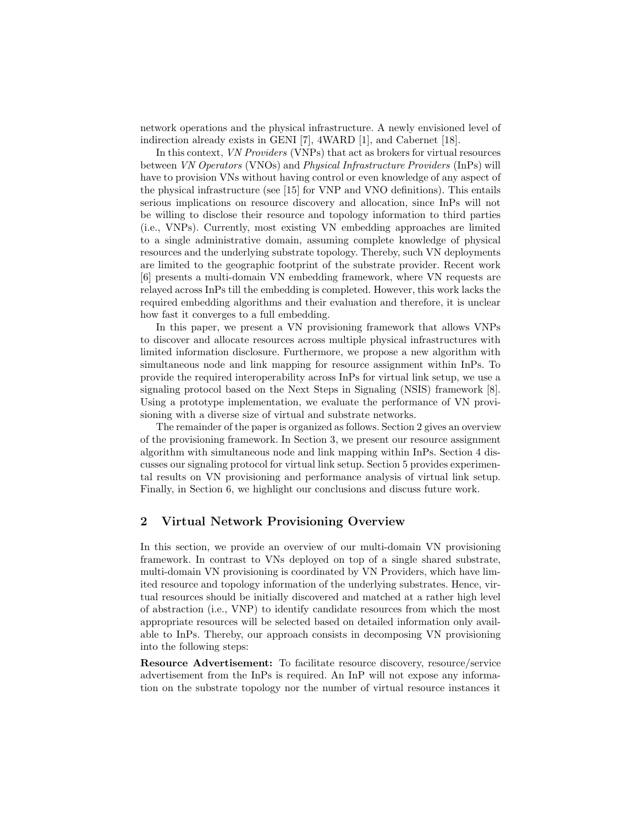network operations and the physical infrastructure. A newly envisioned level of indirection already exists in GENI [7], 4WARD [1], and Cabernet [18].

In this context, VN Providers (VNPs) that act as brokers for virtual resources between VN Operators (VNOs) and Physical Infrastructure Providers (InPs) will have to provision VNs without having control or even knowledge of any aspect of the physical infrastructure (see [15] for VNP and VNO definitions). This entails serious implications on resource discovery and allocation, since InPs will not be willing to disclose their resource and topology information to third parties (i.e., VNPs). Currently, most existing VN embedding approaches are limited to a single administrative domain, assuming complete knowledge of physical resources and the underlying substrate topology. Thereby, such VN deployments are limited to the geographic footprint of the substrate provider. Recent work [6] presents a multi-domain VN embedding framework, where VN requests are relayed across InPs till the embedding is completed. However, this work lacks the required embedding algorithms and their evaluation and therefore, it is unclear how fast it converges to a full embedding.

In this paper, we present a VN provisioning framework that allows VNPs to discover and allocate resources across multiple physical infrastructures with limited information disclosure. Furthermore, we propose a new algorithm with simultaneous node and link mapping for resource assignment within InPs. To provide the required interoperability across InPs for virtual link setup, we use a signaling protocol based on the Next Steps in Signaling (NSIS) framework [8]. Using a prototype implementation, we evaluate the performance of VN provisioning with a diverse size of virtual and substrate networks.

The remainder of the paper is organized as follows. Section 2 gives an overview of the provisioning framework. In Section 3, we present our resource assignment algorithm with simultaneous node and link mapping within InPs. Section 4 discusses our signaling protocol for virtual link setup. Section 5 provides experimental results on VN provisioning and performance analysis of virtual link setup. Finally, in Section 6, we highlight our conclusions and discuss future work.

## 2 Virtual Network Provisioning Overview

In this section, we provide an overview of our multi-domain VN provisioning framework. In contrast to VNs deployed on top of a single shared substrate, multi-domain VN provisioning is coordinated by VN Providers, which have limited resource and topology information of the underlying substrates. Hence, virtual resources should be initially discovered and matched at a rather high level of abstraction (i.e., VNP) to identify candidate resources from which the most appropriate resources will be selected based on detailed information only available to InPs. Thereby, our approach consists in decomposing VN provisioning into the following steps:

Resource Advertisement: To facilitate resource discovery, resource/service advertisement from the InPs is required. An InP will not expose any information on the substrate topology nor the number of virtual resource instances it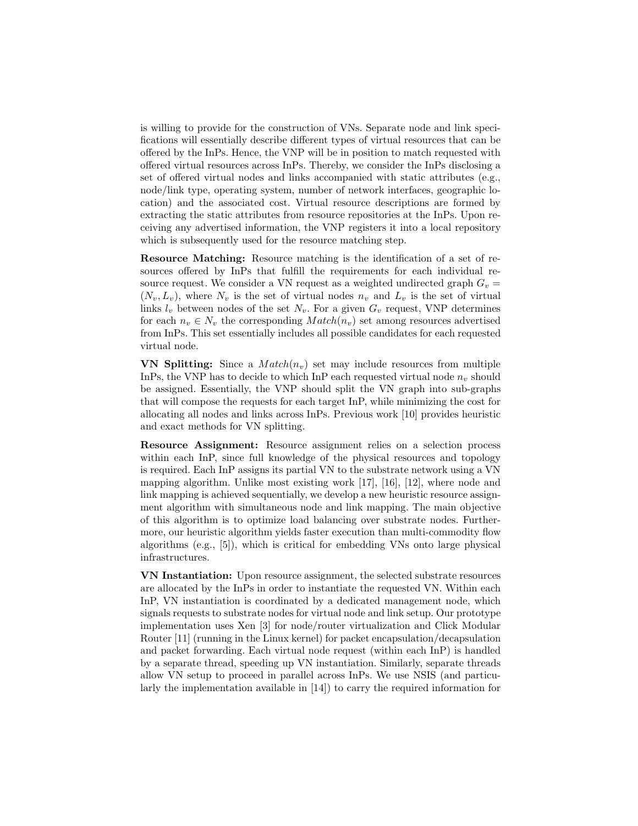is willing to provide for the construction of VNs. Separate node and link specifications will essentially describe different types of virtual resources that can be offered by the InPs. Hence, the VNP will be in position to match requested with offered virtual resources across InPs. Thereby, we consider the InPs disclosing a set of offered virtual nodes and links accompanied with static attributes (e.g., node/link type, operating system, number of network interfaces, geographic location) and the associated cost. Virtual resource descriptions are formed by extracting the static attributes from resource repositories at the InPs. Upon receiving any advertised information, the VNP registers it into a local repository which is subsequently used for the resource matching step.

Resource Matching: Resource matching is the identification of a set of resources offered by InPs that fulfill the requirements for each individual resource request. We consider a VN request as a weighted undirected graph  $G_v$  =  $(N_v, L_v)$ , where  $N_v$  is the set of virtual nodes  $n_v$  and  $L_v$  is the set of virtual links  $l_v$  between nodes of the set  $N_v$ . For a given  $G_v$  request, VNP determines for each  $n_v \in N_v$  the corresponding  $Match(n_v)$  set among resources advertised from InPs. This set essentially includes all possible candidates for each requested virtual node.

VN Splitting: Since a  $Match(n_v)$  set may include resources from multiple InPs, the VNP has to decide to which InP each requested virtual node  $n_v$  should be assigned. Essentially, the VNP should split the VN graph into sub-graphs that will compose the requests for each target InP, while minimizing the cost for allocating all nodes and links across InPs. Previous work [10] provides heuristic and exact methods for VN splitting.

Resource Assignment: Resource assignment relies on a selection process within each InP, since full knowledge of the physical resources and topology is required. Each InP assigns its partial VN to the substrate network using a VN mapping algorithm. Unlike most existing work [17], [16], [12], where node and link mapping is achieved sequentially, we develop a new heuristic resource assignment algorithm with simultaneous node and link mapping. The main objective of this algorithm is to optimize load balancing over substrate nodes. Furthermore, our heuristic algorithm yields faster execution than multi-commodity flow algorithms (e.g., [5]), which is critical for embedding VNs onto large physical infrastructures.

VN Instantiation: Upon resource assignment, the selected substrate resources are allocated by the InPs in order to instantiate the requested VN. Within each InP, VN instantiation is coordinated by a dedicated management node, which signals requests to substrate nodes for virtual node and link setup. Our prototype implementation uses Xen [3] for node/router virtualization and Click Modular Router [11] (running in the Linux kernel) for packet encapsulation/decapsulation and packet forwarding. Each virtual node request (within each InP) is handled by a separate thread, speeding up VN instantiation. Similarly, separate threads allow VN setup to proceed in parallel across InPs. We use NSIS (and particularly the implementation available in [14]) to carry the required information for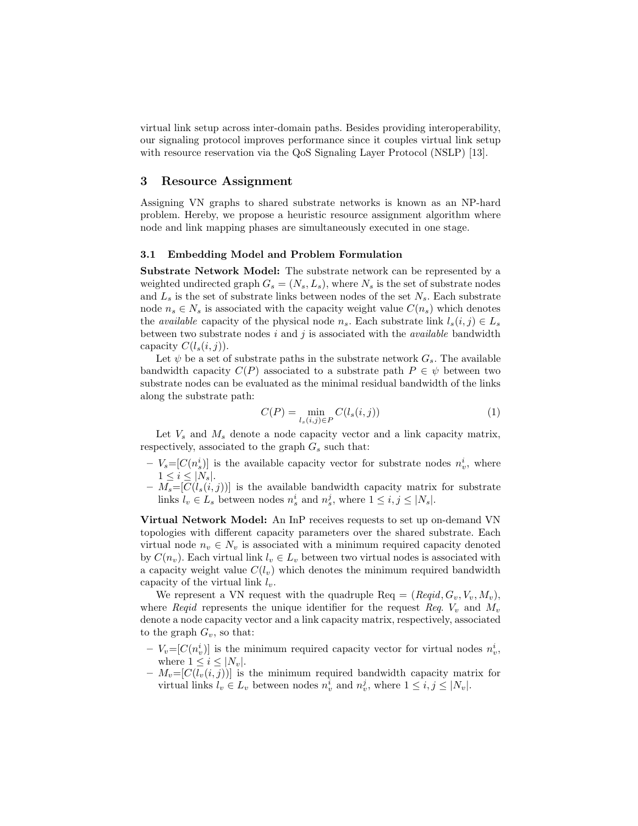virtual link setup across inter-domain paths. Besides providing interoperability, our signaling protocol improves performance since it couples virtual link setup with resource reservation via the QoS Signaling Layer Protocol (NSLP) [13].

### 3 Resource Assignment

Assigning VN graphs to shared substrate networks is known as an NP-hard problem. Hereby, we propose a heuristic resource assignment algorithm where node and link mapping phases are simultaneously executed in one stage.

#### 3.1 Embedding Model and Problem Formulation

Substrate Network Model: The substrate network can be represented by a weighted undirected graph  $G_s = (N_s, L_s)$ , where  $N_s$  is the set of substrate nodes and  $L_s$  is the set of substrate links between nodes of the set  $N_s$ . Each substrate node  $n_s \in N_s$  is associated with the capacity weight value  $C(n_s)$  which denotes the *available* capacity of the physical node  $n_s$ . Each substrate link  $l_s(i, j) \in L_s$ between two substrate nodes i and j is associated with the *available* bandwidth capacity  $C(l_s(i, j))$ .

Let  $\psi$  be a set of substrate paths in the substrate network  $G_s$ . The available bandwidth capacity  $C(P)$  associated to a substrate path  $P \in \psi$  between two substrate nodes can be evaluated as the minimal residual bandwidth of the links along the substrate path:

$$
C(P) = \min_{l_s(i,j)\in P} C(l_s(i,j))
$$
\n<sup>(1)</sup>

Let  $V_s$  and  $M_s$  denote a node capacity vector and a link capacity matrix, respectively, associated to the graph  $G_s$  such that:

- $V_s = [C(n_s^i)]$  is the available capacity vector for substrate nodes  $n_v^i$ , where  $1 \leq i \leq |N_{s}|.$
- $-M_s=[C(l_s(i,j))]$  is the available bandwidth capacity matrix for substrate links  $l_v \in L_s$  between nodes  $n_s^i$  and  $n_s^j$ , where  $1 \le i, j \le |N_s|$ .

Virtual Network Model: An InP receives requests to set up on-demand VN topologies with different capacity parameters over the shared substrate. Each virtual node  $n_v \in N_v$  is associated with a minimum required capacity denoted by  $C(n_v)$ . Each virtual link  $l_v \in L_v$  between two virtual nodes is associated with a capacity weight value  $C(l_v)$  which denotes the minimum required bandwidth capacity of the virtual link  $l_v$ .

We represent a VN request with the quadruple Req =  $(Regid, G_v, V_v, M_v)$ , where Reqid represents the unique identifier for the request Req.  $V_v$  and  $M_v$ denote a node capacity vector and a link capacity matrix, respectively, associated to the graph  $G_v$ , so that:

- $V_v = [C(n_v^i)]$  is the minimum required capacity vector for virtual nodes  $n_v^i$ , where  $1 \leq i \leq |N_v|$ .
- $-M_v=[C(l_v(i,j))]$  is the minimum required bandwidth capacity matrix for virtual links  $l_v \in L_v$  between nodes  $n_v^i$  and  $n_v^j$ , where  $1 \le i, j \le |N_v|$ .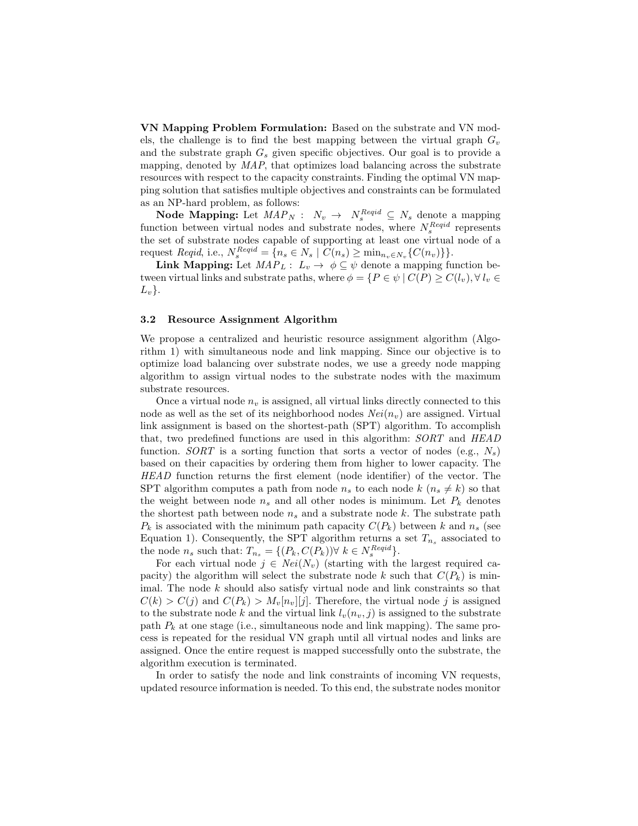VN Mapping Problem Formulation: Based on the substrate and VN models, the challenge is to find the best mapping between the virtual graph  $G_v$ and the substrate graph  $G_s$  given specific objectives. Our goal is to provide a mapping, denoted by MAP, that optimizes load balancing across the substrate resources with respect to the capacity constraints. Finding the optimal VN mapping solution that satisfies multiple objectives and constraints can be formulated as an NP-hard problem, as follows:

**Node Mapping:** Let  $MAP_N$  :  $N_v \rightarrow N_s^{Required} \subseteq N_s$  denote a mapping function between virtual nodes and substrate nodes, where  $N_s^{Regid}$  represents the set of substrate nodes capable of supporting at least one virtual node of a request Reqid, i.e.,  $N_s^{Regid} = \{n_s \in N_s \mid C(n_s) \geq \min_{n_v \in N_v} \{C(n_v)\}\}.$ 

**Link Mapping:** Let  $MAP_L: L_v \to \phi \subseteq \psi$  denote a mapping function between virtual links and substrate paths, where  $\phi = \{P \in \psi \mid C(P) \ge C(l_v), \forall l_v \in$  $L_v$ .

#### 3.2 Resource Assignment Algorithm

We propose a centralized and heuristic resource assignment algorithm (Algorithm 1) with simultaneous node and link mapping. Since our objective is to optimize load balancing over substrate nodes, we use a greedy node mapping algorithm to assign virtual nodes to the substrate nodes with the maximum substrate resources.

Once a virtual node  $n_v$  is assigned, all virtual links directly connected to this node as well as the set of its neighborhood nodes  $Nei(n_v)$  are assigned. Virtual link assignment is based on the shortest-path (SPT) algorithm. To accomplish that, two predefined functions are used in this algorithm: SORT and HEAD function. SORT is a sorting function that sorts a vector of nodes (e.g.,  $N_s$ ) based on their capacities by ordering them from higher to lower capacity. The HEAD function returns the first element (node identifier) of the vector. The SPT algorithm computes a path from node  $n_s$  to each node  $k$   $(n_s \neq k)$  so that the weight between node  $n_s$  and all other nodes is minimum. Let  $P_k$  denotes the shortest path between node  $n_s$  and a substrate node k. The substrate path  $P_k$  is associated with the minimum path capacity  $C(P_k)$  between k and  $n_s$  (see Equation 1). Consequently, the SPT algorithm returns a set  $T_{n_s}$  associated to the node  $n_s$  such that:  $T_{n_s} = \{(P_k, C(P_k)) \forall k \in N_s^{Regid}\}.$ 

For each virtual node  $j \in Nei(N_v)$  (starting with the largest required capacity) the algorithm will select the substrate node k such that  $C(P_k)$  is minimal. The node  $k$  should also satisfy virtual node and link constraints so that  $C(k) > C(j)$  and  $C(P_k) > M_v[n_v][j]$ . Therefore, the virtual node j is assigned to the substrate node k and the virtual link  $l_v(n_v, j)$  is assigned to the substrate path  $P_k$  at one stage (i.e., simultaneous node and link mapping). The same process is repeated for the residual VN graph until all virtual nodes and links are assigned. Once the entire request is mapped successfully onto the substrate, the algorithm execution is terminated.

In order to satisfy the node and link constraints of incoming VN requests, updated resource information is needed. To this end, the substrate nodes monitor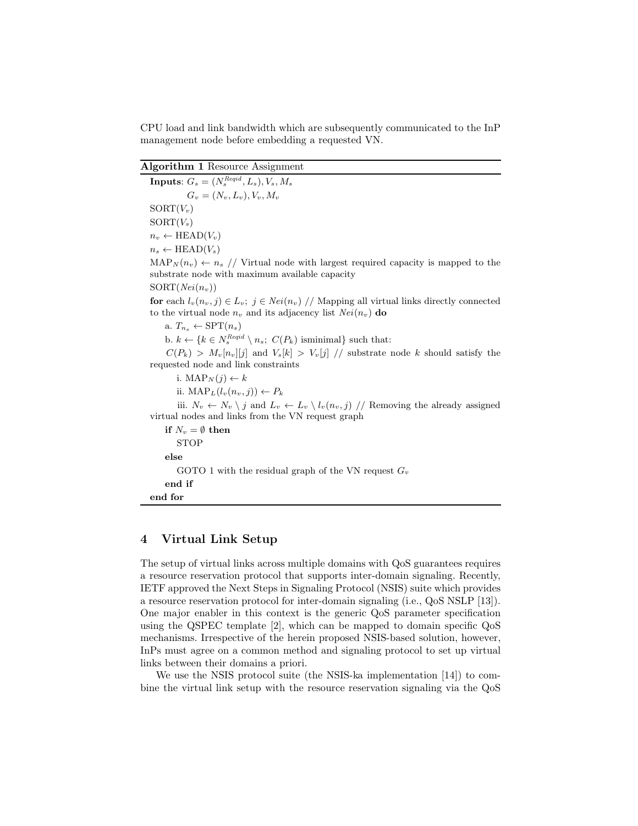CPU load and link bandwidth which are subsequently communicated to the InP management node before embedding a requested VN.

Algorithm 1 Resource Assignment

 $\textbf{InputStream}: G_s = (N_s^{Required}, L_s), V_s, M_s$  $G_v = (N_v, L_v), V_v, M_v$  $SORT(V_v)$  $SORT(V_s)$  $n_v \leftarrow \text{HEAD}(V_v)$  $n_s \leftarrow \text{HEAD}(V_s)$  $\text{MAP}_N(n_v) \leftarrow n_s$  // Virtual node with largest required capacity is mapped to the substrate node with maximum available capacity  $SORT(Nei(n_v))$ for each  $l_v(n_v, j) \in L_v$ ;  $j \in Nei(n_v)$  // Mapping all virtual links directly connected to the virtual node  $n_v$  and its adjacency list  $Nei(n_v)$  do a.  $T_{n_s} \leftarrow \text{SPT}(n_s)$ b.  $k \leftarrow \{k \in N_s^{Regid} \setminus n_s; C(P_k) \text{ is minimal}\}$  such that:  $C(P_k) > M_v[n_v][j]$  and  $V_s[k] > V_v[j]$  // substrate node k should satisfy the requested node and link constraints i.  $\text{MAP}_N(j) \leftarrow k$ ii.  $\text{MAP}_L(l_v(n_v, j)) \leftarrow P_k$ iii.  $N_v \leftarrow N_v \setminus j$  and  $L_v \leftarrow L_v \setminus l_v(n_v, j)$  // Removing the already assigned virtual nodes and links from the VN request graph if  $N_v = \emptyset$  then STOP else GOTO 1 with the residual graph of the VN request  $G_v$ end if end for

# 4 Virtual Link Setup

The setup of virtual links across multiple domains with QoS guarantees requires a resource reservation protocol that supports inter-domain signaling. Recently, IETF approved the Next Steps in Signaling Protocol (NSIS) suite which provides a resource reservation protocol for inter-domain signaling (i.e., QoS NSLP [13]). One major enabler in this context is the generic QoS parameter specification using the QSPEC template [2], which can be mapped to domain specific QoS mechanisms. Irrespective of the herein proposed NSIS-based solution, however, InPs must agree on a common method and signaling protocol to set up virtual links between their domains a priori.

We use the NSIS protocol suite (the NSIS-ka implementation [14]) to combine the virtual link setup with the resource reservation signaling via the QoS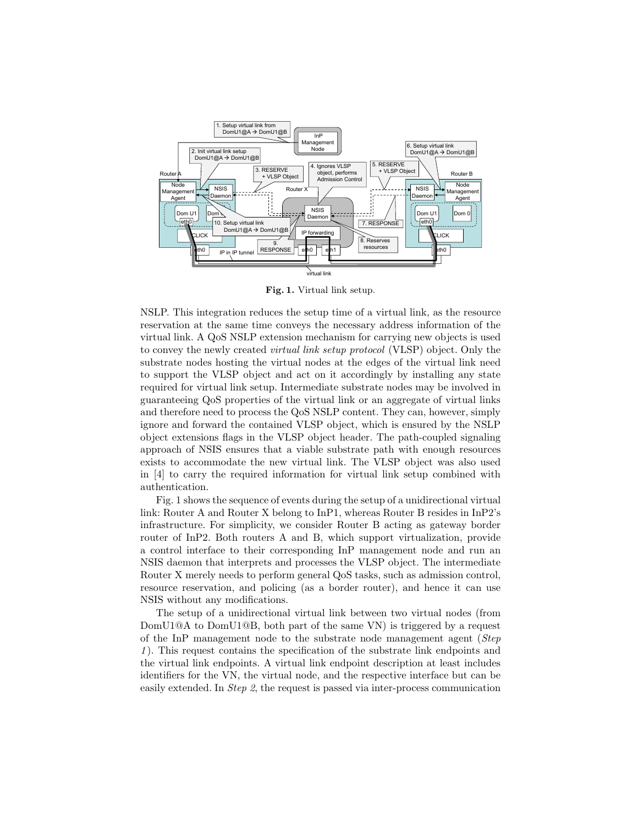

Fig. 1. Virtual link setup.

NSLP. This integration reduces the setup time of a virtual link, as the resource reservation at the same time conveys the necessary address information of the virtual link. A QoS NSLP extension mechanism for carrying new objects is used to convey the newly created virtual link setup protocol (VLSP) object. Only the substrate nodes hosting the virtual nodes at the edges of the virtual link need to support the VLSP object and act on it accordingly by installing any state required for virtual link setup. Intermediate substrate nodes may be involved in guaranteeing QoS properties of the virtual link or an aggregate of virtual links and therefore need to process the QoS NSLP content. They can, however, simply ignore and forward the contained VLSP object, which is ensured by the NSLP object extensions flags in the VLSP object header. The path-coupled signaling approach of NSIS ensures that a viable substrate path with enough resources exists to accommodate the new virtual link. The VLSP object was also used in [4] to carry the required information for virtual link setup combined with authentication.

Fig. 1 shows the sequence of events during the setup of a unidirectional virtual link: Router A and Router X belong to InP1, whereas Router B resides in InP2's infrastructure. For simplicity, we consider Router B acting as gateway border router of InP2. Both routers A and B, which support virtualization, provide a control interface to their corresponding InP management node and run an NSIS daemon that interprets and processes the VLSP object. The intermediate Router X merely needs to perform general QoS tasks, such as admission control, resource reservation, and policing (as a border router), and hence it can use NSIS without any modifications.

The setup of a unidirectional virtual link between two virtual nodes (from DomU1@A to DomU1@B, both part of the same VN) is triggered by a request of the InP management node to the substrate node management agent (Step 1). This request contains the specification of the substrate link endpoints and the virtual link endpoints. A virtual link endpoint description at least includes identifiers for the VN, the virtual node, and the respective interface but can be easily extended. In Step 2, the request is passed via inter-process communication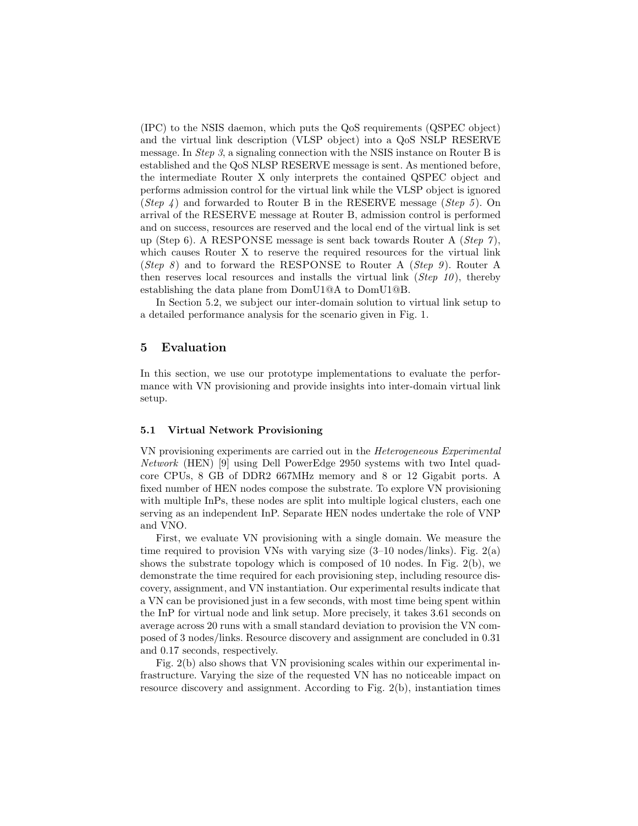(IPC) to the NSIS daemon, which puts the QoS requirements (QSPEC object) and the virtual link description (VLSP object) into a QoS NSLP RESERVE message. In Step 3, a signaling connection with the NSIS instance on Router B is established and the QoS NLSP RESERVE message is sent. As mentioned before, the intermediate Router X only interprets the contained QSPEC object and performs admission control for the virtual link while the VLSP object is ignored (Step 4) and forwarded to Router B in the RESERVE message (Step 5). On arrival of the RESERVE message at Router B, admission control is performed and on success, resources are reserved and the local end of the virtual link is set up (Step 6). A RESPONSE message is sent back towards Router A (Step 7), which causes Router X to reserve the required resources for the virtual link (Step 8) and to forward the RESPONSE to Router A (Step 9). Router A then reserves local resources and installs the virtual link  $(Step 10)$ , thereby establishing the data plane from DomU1@A to DomU1@B.

In Section 5.2, we subject our inter-domain solution to virtual link setup to a detailed performance analysis for the scenario given in Fig. 1.

### 5 Evaluation

In this section, we use our prototype implementations to evaluate the performance with VN provisioning and provide insights into inter-domain virtual link setup.

#### 5.1 Virtual Network Provisioning

VN provisioning experiments are carried out in the Heterogeneous Experimental Network (HEN) [9] using Dell PowerEdge 2950 systems with two Intel quadcore CPUs, 8 GB of DDR2 667MHz memory and 8 or 12 Gigabit ports. A fixed number of HEN nodes compose the substrate. To explore VN provisioning with multiple InPs, these nodes are split into multiple logical clusters, each one serving as an independent InP. Separate HEN nodes undertake the role of VNP and VNO.

First, we evaluate VN provisioning with a single domain. We measure the time required to provision VNs with varying size  $(3-10 \text{ nodes/links})$ . Fig.  $2(a)$ shows the substrate topology which is composed of 10 nodes. In Fig. 2(b), we demonstrate the time required for each provisioning step, including resource discovery, assignment, and VN instantiation. Our experimental results indicate that a VN can be provisioned just in a few seconds, with most time being spent within the InP for virtual node and link setup. More precisely, it takes 3.61 seconds on average across 20 runs with a small standard deviation to provision the VN composed of 3 nodes/links. Resource discovery and assignment are concluded in 0.31 and 0.17 seconds, respectively.

Fig. 2(b) also shows that VN provisioning scales within our experimental infrastructure. Varying the size of the requested VN has no noticeable impact on resource discovery and assignment. According to Fig. 2(b), instantiation times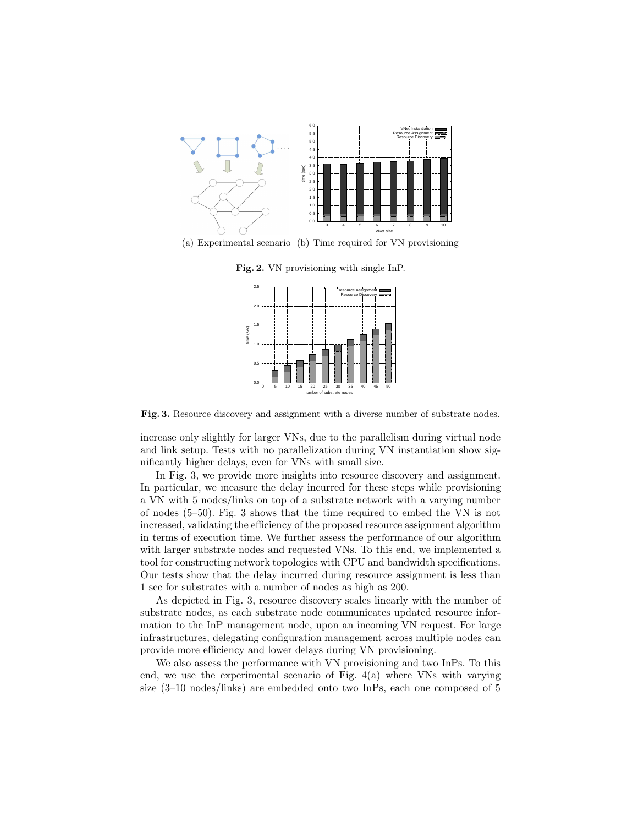

(a) Experimental scenario (b) Time required for VN provisioning

Fig. 2. VN provisioning with single InP.



Fig. 3. Resource discovery and assignment with a diverse number of substrate nodes.

increase only slightly for larger VNs, due to the parallelism during virtual node and link setup. Tests with no parallelization during VN instantiation show significantly higher delays, even for VNs with small size.

In Fig. 3, we provide more insights into resource discovery and assignment. In particular, we measure the delay incurred for these steps while provisioning a VN with 5 nodes/links on top of a substrate network with a varying number of nodes (5–50). Fig. 3 shows that the time required to embed the VN is not increased, validating the efficiency of the proposed resource assignment algorithm in terms of execution time. We further assess the performance of our algorithm with larger substrate nodes and requested VNs. To this end, we implemented a tool for constructing network topologies with CPU and bandwidth specifications. Our tests show that the delay incurred during resource assignment is less than 1 sec for substrates with a number of nodes as high as 200.

As depicted in Fig. 3, resource discovery scales linearly with the number of substrate nodes, as each substrate node communicates updated resource information to the InP management node, upon an incoming VN request. For large infrastructures, delegating configuration management across multiple nodes can provide more efficiency and lower delays during VN provisioning.

We also assess the performance with VN provisioning and two InPs. To this end, we use the experimental scenario of Fig. 4(a) where VNs with varying size (3–10 nodes/links) are embedded onto two InPs, each one composed of 5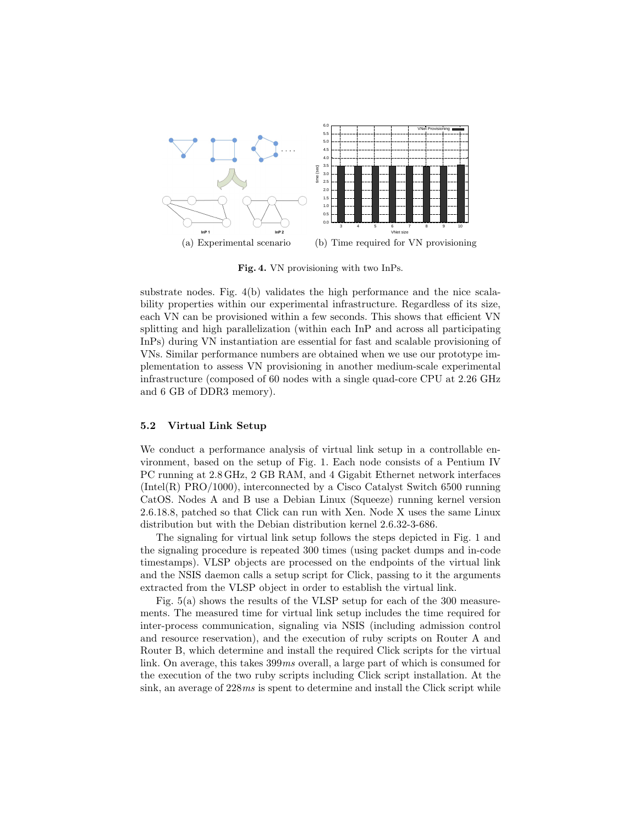

Fig. 4. VN provisioning with two InPs.

substrate nodes. Fig. 4(b) validates the high performance and the nice scalability properties within our experimental infrastructure. Regardless of its size, each VN can be provisioned within a few seconds. This shows that efficient VN splitting and high parallelization (within each InP and across all participating InPs) during VN instantiation are essential for fast and scalable provisioning of VNs. Similar performance numbers are obtained when we use our prototype implementation to assess VN provisioning in another medium-scale experimental infrastructure (composed of 60 nodes with a single quad-core CPU at 2.26 GHz and 6 GB of DDR3 memory).

#### 5.2 Virtual Link Setup

We conduct a performance analysis of virtual link setup in a controllable environment, based on the setup of Fig. 1. Each node consists of a Pentium IV PC running at 2.8 GHz, 2 GB RAM, and 4 Gigabit Ethernet network interfaces  $(Intel(R) PRO/1000)$ , interconnected by a Cisco Catalyst Switch 6500 running CatOS. Nodes A and B use a Debian Linux (Squeeze) running kernel version 2.6.18.8, patched so that Click can run with Xen. Node X uses the same Linux distribution but with the Debian distribution kernel 2.6.32-3-686.

The signaling for virtual link setup follows the steps depicted in Fig. 1 and the signaling procedure is repeated 300 times (using packet dumps and in-code timestamps). VLSP objects are processed on the endpoints of the virtual link and the NSIS daemon calls a setup script for Click, passing to it the arguments extracted from the VLSP object in order to establish the virtual link.

Fig. 5(a) shows the results of the VLSP setup for each of the 300 measurements. The measured time for virtual link setup includes the time required for inter-process communication, signaling via NSIS (including admission control and resource reservation), and the execution of ruby scripts on Router A and Router B, which determine and install the required Click scripts for the virtual link. On average, this takes 399ms overall, a large part of which is consumed for the execution of the two ruby scripts including Click script installation. At the sink, an average of  $228ms$  is spent to determine and install the Click script while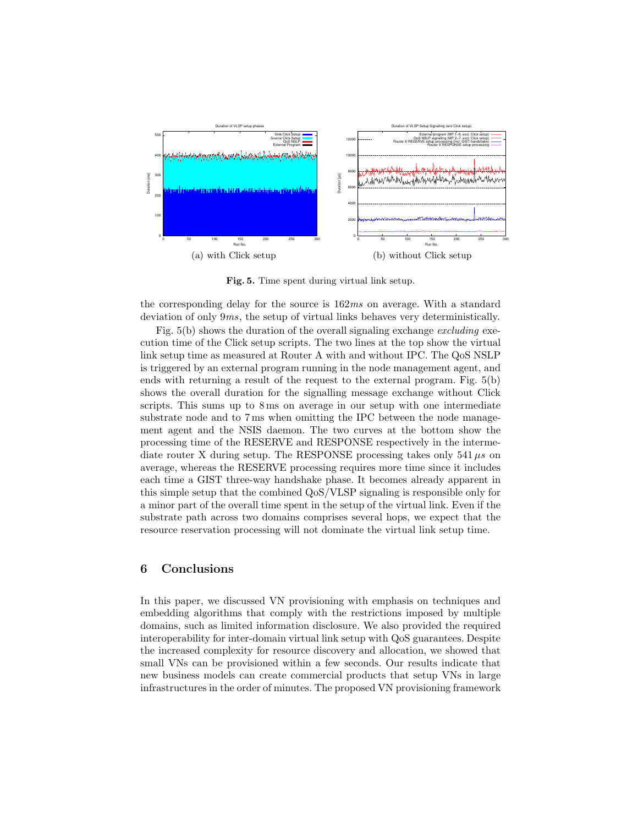

Fig. 5. Time spent during virtual link setup.

the corresponding delay for the source is 162ms on average. With a standard deviation of only 9ms, the setup of virtual links behaves very deterministically.

Fig. 5(b) shows the duration of the overall signaling exchange excluding execution time of the Click setup scripts. The two lines at the top show the virtual link setup time as measured at Router A with and without IPC. The QoS NSLP is triggered by an external program running in the node management agent, and ends with returning a result of the request to the external program. Fig. 5(b) shows the overall duration for the signalling message exchange without Click scripts. This sums up to 8 ms on average in our setup with one intermediate substrate node and to 7 ms when omitting the IPC between the node management agent and the NSIS daemon. The two curves at the bottom show the processing time of the RESERVE and RESPONSE respectively in the intermediate router X during setup. The RESPONSE processing takes only  $541 \mu s$  on average, whereas the RESERVE processing requires more time since it includes each time a GIST three-way handshake phase. It becomes already apparent in this simple setup that the combined QoS/VLSP signaling is responsible only for a minor part of the overall time spent in the setup of the virtual link. Even if the substrate path across two domains comprises several hops, we expect that the resource reservation processing will not dominate the virtual link setup time.

## 6 Conclusions

In this paper, we discussed VN provisioning with emphasis on techniques and embedding algorithms that comply with the restrictions imposed by multiple domains, such as limited information disclosure. We also provided the required interoperability for inter-domain virtual link setup with QoS guarantees. Despite the increased complexity for resource discovery and allocation, we showed that small VNs can be provisioned within a few seconds. Our results indicate that new business models can create commercial products that setup VNs in large infrastructures in the order of minutes. The proposed VN provisioning framework